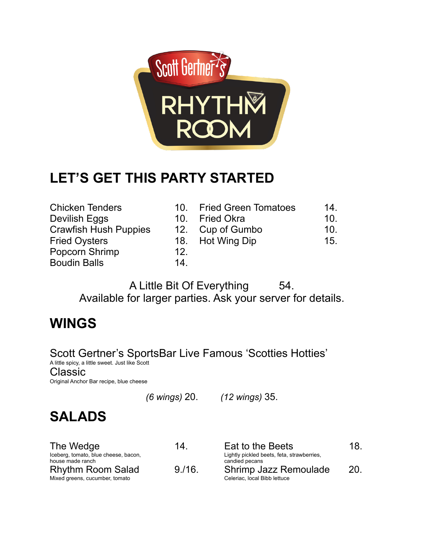

# **LET'S GET THIS PARTY STARTED**

- 
- Chicken Tenders 10. Fried Green Tomatoes 14. Devilish Eggs 10. Fried Okra 10.
- Crawfish Hush Puppies 12. Cup of Gumbo 10.
- Fried Oysters **18.** Hot Wing Dip 15.
- Popcorn Shrimp 12.
- Boudin Balls 14.

A Little Bit Of Everything 54. Available for larger parties. Ask your server for details.

# **WINGS**

Scott Gertner's SportsBar Live Famous 'Scotties Hotties' A little spicy, a little sweet. Just like Scott Classic

Original Anchor Bar recipe, blue cheese

*(6 wings)* 20. *(12 wings)* 35.

# **SALADS**

| The Wedge<br>Iceberg, tomato, blue cheese, bacon,<br>house made ranch | 14.   | Eat to the Beets<br>Lightly pickled beets, feta, strawberries,<br>candied pecans | 18. |
|-----------------------------------------------------------------------|-------|----------------------------------------------------------------------------------|-----|
| <b>Rhythm Room Salad</b><br>Mixed greens, cucumber, tomato            | 9/16. | Shrimp Jazz Remoulade<br>Celeriac, local Bibb lettuce                            | 20. |